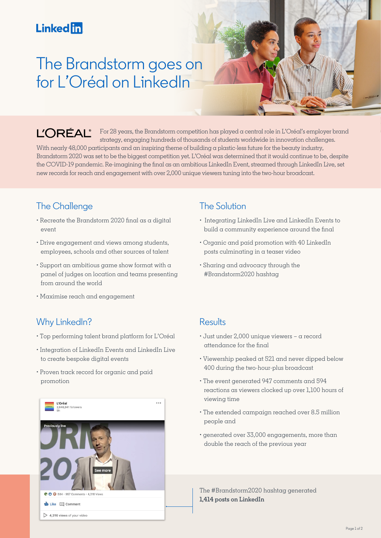## **Linked** in

# The Brandstorm goes on for L'Oréal on LinkedIn

L'ORÉAL® For 28 years, the Brandstorm competition has played a central role in L'Oréal's employer brand strategy, engaging hundreds of thousands of students worldwide in innovation challenges. With nearly 48,000 participants and an inspiring theme of building a plastic-less future for the beauty industry, Brandstorm 2020 was set to be the biggest competition yet. L'Oréal was determined that it would continue to be, despite the COVID-19 pandemic. Re-imagining the final as an ambitious LinkedIn Event, streamed through LinkedIn Live, set new records for reach and engagement with over 2,000 unique viewers tuning into the two-hour broadcast.

### The Challenge

- Recreate the Brandstorm 2020 final as a digital event
- Drive engagement and views among students, employees, schools and other sources of talent
- Support an ambitious game show format with a panel of judges on location and teams presenting from around the world
- Maximise reach and engagement

### Why LinkedIn?

- Top performing talent brand platform for L'Oréal
- Integration of LinkedIn Events and LinkedIn Live to create bespoke digital events
- Proven track record for organic and paid promotion



### The Solution

- Integrating LinkedIn Live and LinkedIn Events to build a community experience around the final
- Organic and paid promotion with 40 LinkedIn posts culminating in a teaser video
- Sharing and advocacy through the #Brandstorm2020 hashtag

#### **Results**

- Just under 2,000 unique viewers a record attendance for the final
- Viewership peaked at 521 and never dipped below 400 during the two-hour-plus broadcast
- The event generated 947 comments and 594 reactions as viewers clocked up over 1,100 hours of viewing time
- The extended campaign reached over 8.5 million people and
- generated over 33,000 engagements, more than double the reach of the previous year

The #Brandstorm2020 hashtag generated **1,414 posts on LinkedIn**